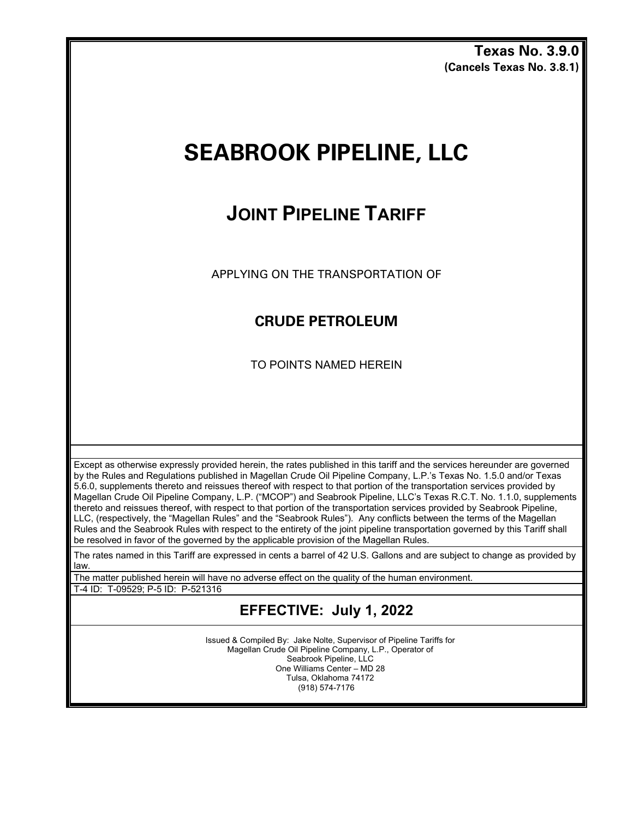**Texas No. 3.9.0 (Cancels Texas No. 3.8.1)**

# **SEABROOK PIPELINE, LLC**

## **JOINT PIPELINE TARIFF**

APPLYING ON THE TRANSPORTATION OF

### **CRUDE PETROLEUM**

TO POINTS NAMED HEREIN

Except as otherwise expressly provided herein, the rates published in this tariff and the services hereunder are governed by the Rules and Regulations published in Magellan Crude Oil Pipeline Company, L.P.'s Texas No. 1.5.0 and/or Texas 5.6.0, supplements thereto and reissues thereof with respect to that portion of the transportation services provided by Magellan Crude Oil Pipeline Company, L.P. ("MCOP") and Seabrook Pipeline, LLC's Texas R.C.T. No. 1.1.0, supplements thereto and reissues thereof, with respect to that portion of the transportation services provided by Seabrook Pipeline, LLC, (respectively, the "Magellan Rules" and the "Seabrook Rules"). Any conflicts between the terms of the Magellan Rules and the Seabrook Rules with respect to the entirety of the joint pipeline transportation governed by this Tariff shall be resolved in favor of the governed by the applicable provision of the Magellan Rules.

The rates named in this Tariff are expressed in cents a barrel of 42 U.S. Gallons and are subject to change as provided by law.

The matter published herein will have no adverse effect on the quality of the human environment.

T-4 ID: T-09529; P-5 ID: P-521316

## **EFFECTIVE: July 1, 2022**

Issued & Compiled By: Jake Nolte, Supervisor of Pipeline Tariffs for Magellan Crude Oil Pipeline Company, L.P., Operator of Seabrook Pipeline, LLC One Williams Center – MD 28 Tulsa, Oklahoma 74172 (918) 574-7176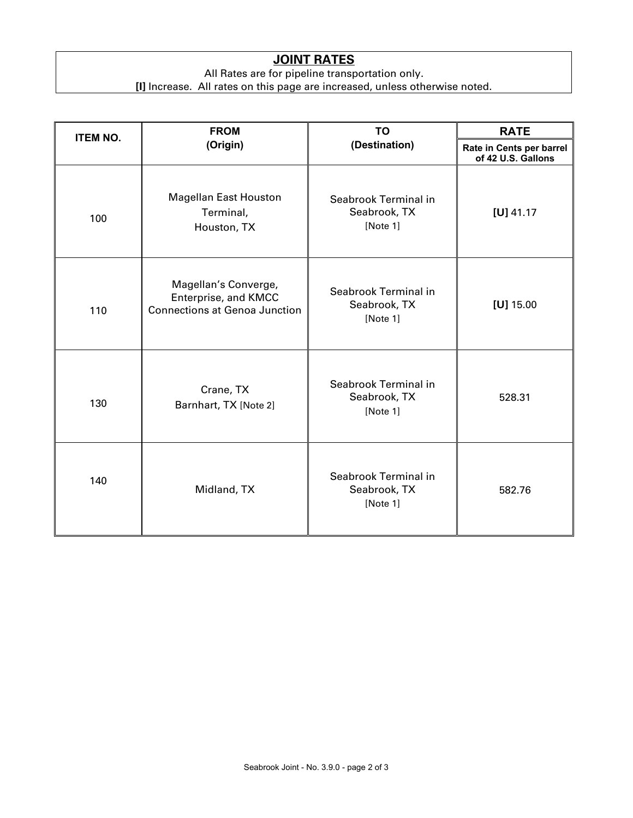#### **JOINT RATES**

All Rates are for pipeline transportation only.

**[I]** Increase. All rates on this page are increased, unless otherwise noted.

| <b>ITEM NO.</b> | <b>FROM</b>                                                                          | TO                                               | <b>RATE</b>                                    |
|-----------------|--------------------------------------------------------------------------------------|--------------------------------------------------|------------------------------------------------|
|                 | (Origin)                                                                             | (Destination)                                    | Rate in Cents per barrel<br>of 42 U.S. Gallons |
| 100             | <b>Magellan East Houston</b><br>Terminal,<br>Houston, TX                             | Seabrook Terminal in<br>Seabrook, TX<br>[Note 1] | $[U]$ 41.17                                    |
| 110             | Magellan's Converge,<br>Enterprise, and KMCC<br><b>Connections at Genoa Junction</b> | Seabrook Terminal in<br>Seabrook, TX<br>[Note 1] | $[U]$ 15.00                                    |
| 130             | Crane, TX<br>Barnhart, TX [Note 2]                                                   | Seabrook Terminal in<br>Seabrook, TX<br>[Note 1] | 528.31                                         |
| 140             | Midland, TX                                                                          | Seabrook Terminal in<br>Seabrook, TX<br>[Note 1] | 582.76                                         |